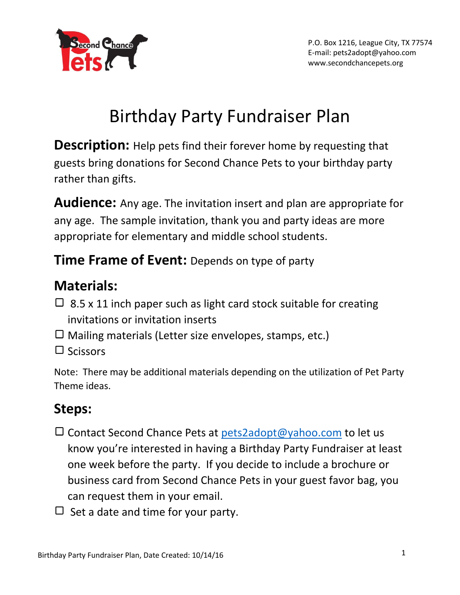

# Birthday Party Fundraiser Plan

**Description:** Help pets find their forever home by requesting that guests bring donations for Second Chance Pets to your birthday party rather than gifts.

**Audience:** Any age. The invitation insert and plan are appropriate for any age. The sample invitation, thank you and party ideas are more appropriate for elementary and middle school students.

## **Time Frame of Event:** Depends on type of party

# **Materials:**

- $\Box$  8.5 x 11 inch paper such as light card stock suitable for creating invitations or invitation inserts
- $\Box$  Mailing materials (Letter size envelopes, stamps, etc.)
- $\Box$  Scissors

Note: There may be additional materials depending on the utilization of Pet Party Theme ideas.

# **Steps:**

- $\Box$  Contact Second Chance Pets at  $pets2adopt@yahoo.com$  to let us know you're interested in having a Birthday Party Fundraiser at least one week before the party. If you decide to include a brochure or business card from Second Chance Pets in your guest favor bag, you can request them in your email.
- $\Box$  Set a date and time for your party.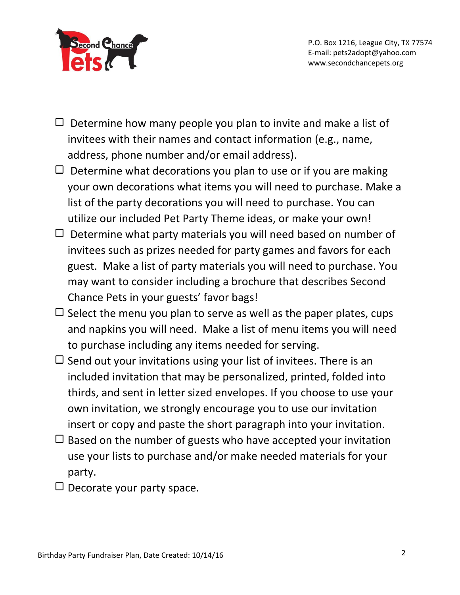

P.O. Box 1216, League City, TX 77574 E-mail: pets2adopt@yahoo.com www.secondchancepets.org

- $\Box$  Determine how many people you plan to invite and make a list of invitees with their names and contact information (e.g., name, address, phone number and/or email address).
- $\Box$  Determine what decorations you plan to use or if you are making your own decorations what items you will need to purchase. Make a list of the party decorations you will need to purchase. You can utilize our included Pet Party Theme ideas, or make your own!
- $\Box$  Determine what party materials you will need based on number of invitees such as prizes needed for party games and favors for each guest. Make a list of party materials you will need to purchase. You may want to consider including a brochure that describes Second Chance Pets in your guests' favor bags!
- $\Box$  Select the menu you plan to serve as well as the paper plates, cups and napkins you will need. Make a list of menu items you will need to purchase including any items needed for serving.
- $\Box$  Send out your invitations using your list of invitees. There is an included invitation that may be personalized, printed, folded into thirds, and sent in letter sized envelopes. If you choose to use your own invitation, we strongly encourage you to use our invitation insert or copy and paste the short paragraph into your invitation.
- $\Box$  Based on the number of guests who have accepted your invitation use your lists to purchase and/or make needed materials for your party.
- $\Box$  Decorate your party space.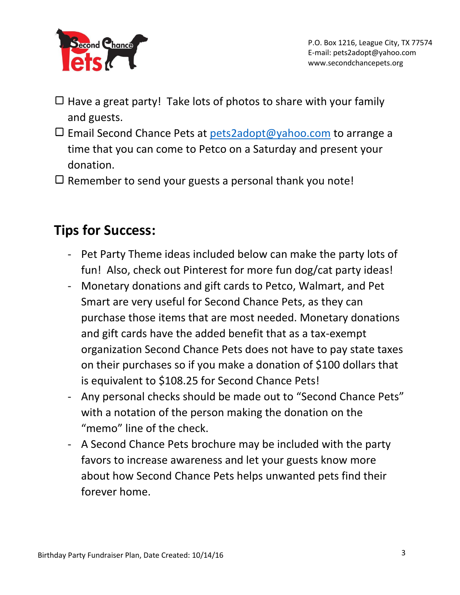

- $\Box$  Have a great party! Take lots of photos to share with your family and guests.
- $\Box$  Email Second Chance Pets at [pets2adopt@yahoo.com](mailto:pets2adopt@yahoo.com) to arrange a time that you can come to Petco on a Saturday and present your donation.
- $\Box$  Remember to send your guests a personal thank you note!

### **Tips for Success:**

- Pet Party Theme ideas included below can make the party lots of fun! Also, check out Pinterest for more fun dog/cat party ideas!
- Monetary donations and gift cards to Petco, Walmart, and Pet Smart are very useful for Second Chance Pets, as they can purchase those items that are most needed. Monetary donations and gift cards have the added benefit that as a tax-exempt organization Second Chance Pets does not have to pay state taxes on their purchases so if you make a donation of \$100 dollars that is equivalent to \$108.25 for Second Chance Pets!
- Any personal checks should be made out to "Second Chance Pets" with a notation of the person making the donation on the "memo" line of the check.
- A Second Chance Pets brochure may be included with the party favors to increase awareness and let your guests know more about how Second Chance Pets helps unwanted pets find their forever home.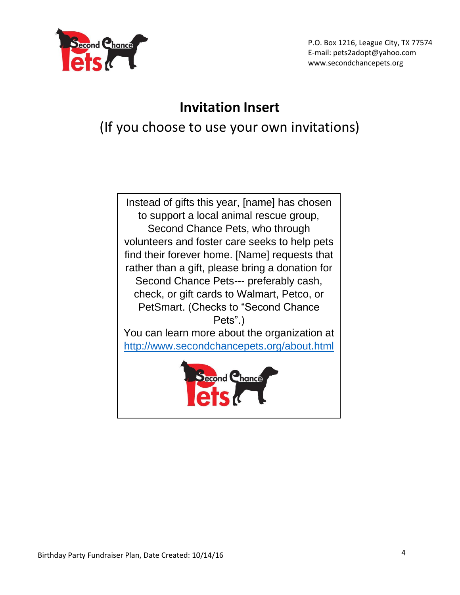

P.O. Box 1216, League City, TX 77574 E-mail: pets2adopt@yahoo.com www.secondchancepets.org

### **Invitation Insert**

(If you choose to use your own invitations)

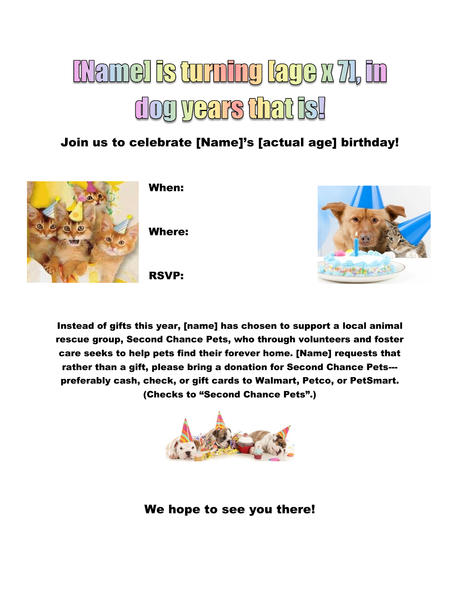# **INamel is turning lage x 71, in** dog years that Is!

### Join us to celebrate [Name]'s [actual age] birthday!



When:

Where:





Instead of gifts this year, [name] has chosen to support a local animal rescue group, Second Chance Pets, who through volunteers and foster care seeks to help pets find their forever home. [Name] requests that rather than a gift, please bring a donation for Second Chance Pets-- preferably cash, check, or gift cards to Walmart, Petco, or PetSmart. (Checks to "Second Chance Pets".)



We hope to see you there!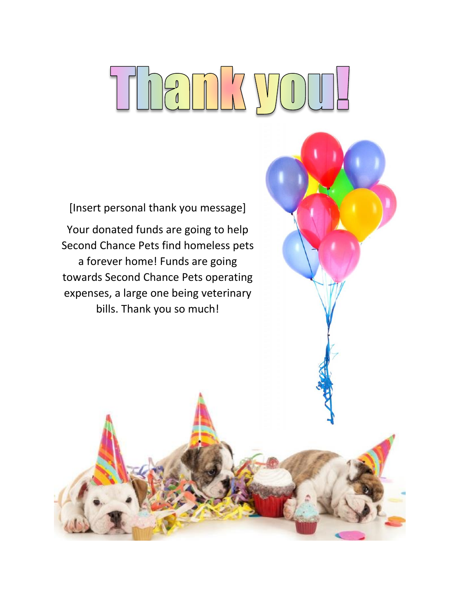# Thank yo

[Insert personal thank you message] Your donated funds are going to help Second Chance Pets find homeless pets a forever home! Funds are going towards Second Chance Pets operating expenses, a large one being veterinary bills. Thank you so much!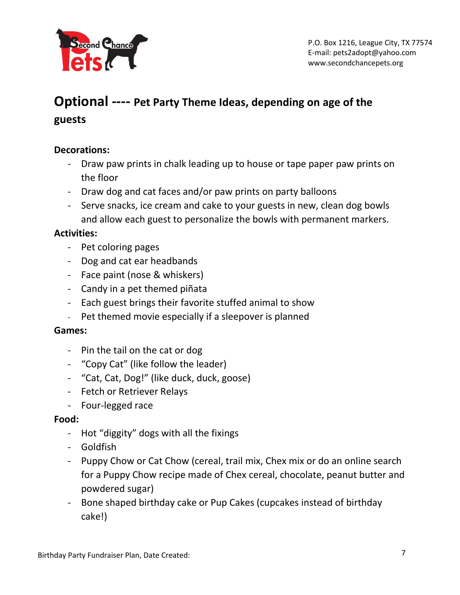

### **Optional ---- Pet Party Theme Ideas, depending on age of the guests**

### **Decorations:**

- Draw paw prints in chalk leading up to house or tape paper paw prints on the floor
- Draw dog and cat faces and/or paw prints on party balloons
- Serve snacks, ice cream and cake to your guests in new, clean dog bowls and allow each guest to personalize the bowls with permanent markers.

### **Activities:**

- Pet coloring pages
- Dog and cat ear headbands
- Face paint (nose & whiskers)
- Candy in a pet themed piñata
- Each guest brings their favorite stuffed animal to show
- Pet themed movie especially if a sleepover is planned

### **Games:**

- Pin the tail on the cat or dog
- "Copy Cat" (like follow the leader)
- "Cat, Cat, Dog!" (like duck, duck, goose)
- Fetch or Retriever Relays
- Four-legged race

#### **Food:**

- Hot "diggity" dogs with all the fixings
- Goldfish
- Puppy Chow or Cat Chow (cereal, trail mix, Chex mix or do an online search for a Puppy Chow recipe made of Chex cereal, chocolate, peanut butter and powdered sugar)
- Bone shaped birthday cake or Pup Cakes (cupcakes instead of birthday cake!)